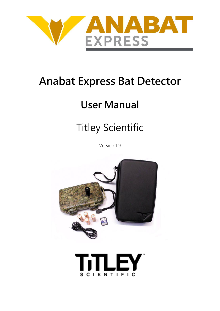

# **Anabat Express Bat Detector**

# **User Manual**

# Titley Scientific

Version 1.9



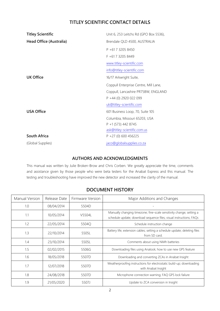# **TITLEY SCIENTIFIC CONTACT DETAILS**

| <b>Titley Scientific</b> | Unit 6, 253 Leitchs Rd (GPO Box 5536), |
|--------------------------|----------------------------------------|
| Head Office (Australia)  | Brendale QLD 4500, AUSTRALIA           |
|                          | P +61 7 3205 8450                      |
|                          | F +61 7 3205 8449                      |
|                          | www.titley-scientific.com              |
|                          | info@titley-scientific.com             |
| <b>UK Office</b>         | 16/17 Arkwright Suite,                 |
|                          | Coppull Enterprise Centre, Mill Lane,  |
|                          | Coppull, Lancashire PR75BW, ENGLAND    |
|                          | P +44 (0) 2920 022 099                 |
|                          | uk@titley-scientific.com               |
| <b>USA Office</b>        | 601 Business Loop, 70, Suite 105       |
|                          | Columbia, Missouri 65203, USA          |
|                          | P +1 (573) 442 8745                    |
|                          | ask@titley-scientific.com.us           |
| South Africa             | $P + 27$ (0) 600 456225                |
| (Global Supplies)        | jaco@globalsupplies.co.za              |

#### **AUTHORS AND ACKNOWLEDGMENTS**

This manual was written by Julie Broken-Brow and Chris Corben. We greatly appreciate the time, comments and assistance given by those people who were beta testers for the Anabat Express and this manual. The testing and troubleshooting have improved the new detector and increased the clarity of the manual.

## **DOCUMENT HISTORY**

| Manual Version | Release Date | Firmware Version | Major Additions and Changes                                                                                                                 |
|----------------|--------------|------------------|---------------------------------------------------------------------------------------------------------------------------------------------|
| 1.0            | 08/04/2014   | 5504D            |                                                                                                                                             |
| 1.1            | 10/05/2014   | V5504L           | Manually changing timezone; fine-scale sensitivity change; setting a<br>schedule update; download sequence files; visual instructions; FAQs |
| 1.2            | 22/05/2014   | 5504Q            | Schedule instruction change                                                                                                                 |
| 1.3            | 22/10/2014   | 5505L            | Battery life; extension cables; setting a schedule update; deleting files<br>from SD card.                                                  |
| 1.4            | 23/10/2014   | 5505L            | Comments about using NiMh batteries                                                                                                         |
| 1.5            | 02/02/2015   | 5506G            | Downloading files using Analook; how to use new GPS feature                                                                                 |
| 1.6            | 18/05/2018   | 5507D            | Downloading and converting ZCAs in Anabat Insight                                                                                           |
| 1.7            | 12/07/2018   | 5507D            | Weatherproofing instructions for electrostatic build-up; downloading<br>with Anabat Insight                                                 |
| 1.8            | 24/08/2018   | 5507D            | Microphone connection warning; FAQ GPS lock failure                                                                                         |
| 1.9            | 21/05/2020   | 5507J            | Update to ZCA conversion in Insight                                                                                                         |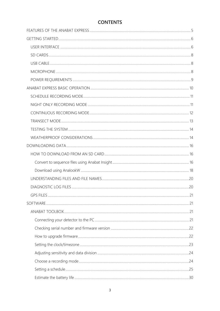# **CONTENTS**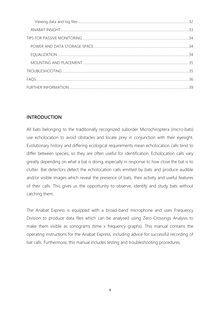## **INTRODUCTION**

All bats belonging to the traditionally recognized suborder Microchiroptera (micro-bats) use echolocation to avoid obstacles and locate prey in conjunction with their eyesight. Evolutionary history and differing ecological requirements mean echolocation calls tend to differ between species, so they are often useful for identification. Echolocation calls vary greatly depending on what a bat is doing, especially in response to how close the bat is to clutter. Bat detectors detect the echolocation calls emitted by bats and produce audible and/or visible images which reveal the presence of bats, their activity and useful features of their calls. This gives us the opportunity to observe, identify and study bats without catching them.

The Anabat Express is equipped with a broad-band microphone and uses Frequency Division to produce data files which can be analysed using Zero-Crossings Analysis to make them visible as sonograms (time x frequency graphs). This manual contains the operating instructions for the Anabat Express, including advice for successful recording of bat calls. Furthermore, this manual includes testing and troubleshooting procedures.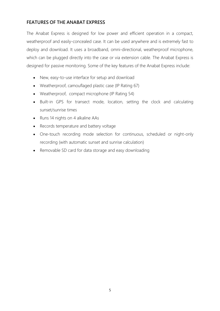## <span id="page-4-0"></span>**FEATURES OF THE ANABAT EXPRESS**

The Anabat Express is designed for low power and efficient operation in a compact, weatherproof and easily-concealed case. It can be used anywhere and is extremely fast to deploy and download. It uses a broadband, omni-directional, weatherproof microphone, which can be plugged directly into the case or via extension cable. The Anabat Express is designed for passive monitoring. Some of the key features of the Anabat Express include:

- New, easy-to-use interface for setup and download
- Weatherproof, camouflaged plastic case (IP Rating 67)
- Weatherproof, compact microphone (IP Rating 54)
- Built-in GPS for transect mode, location, setting the clock and calculating sunset/sunrise times
- Runs 14 nights on 4 alkaline AAs
- Records temperature and battery voltage
- One-touch recording mode selection for continuous, scheduled or night-only recording (with automatic sunset and sunrise calculation)
- <span id="page-4-1"></span>• Removable SD card for data storage and easy downloading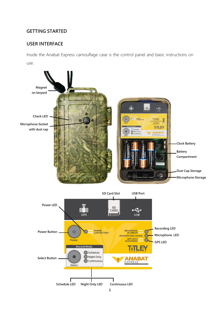## **GETTING STARTED**

## <span id="page-5-0"></span>**USER INTERFACE**

Inside the Anabat Express camouflage case is the control panel and basic instructions on use.



**Schedule LED Night Only LED Continuous LED**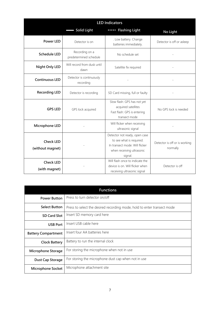| <b>LED Indicators</b>                |                                           |                                                                                                                                     |                                           |  |  |  |  |
|--------------------------------------|-------------------------------------------|-------------------------------------------------------------------------------------------------------------------------------------|-------------------------------------------|--|--|--|--|
|                                      | Solid Light<br>Flashing Light<br>No Light |                                                                                                                                     |                                           |  |  |  |  |
| <b>Power LED</b>                     | Detector is on                            | . Low battery. Change<br>batteries immediately.                                                                                     | Detector is off or asleep                 |  |  |  |  |
| <b>Schedule LED</b>                  | Recording on a<br>predetermined schedule  | No schedule set                                                                                                                     |                                           |  |  |  |  |
| Night Only LED                       | Will record from dusk until<br>dawn       | Satellite fix required                                                                                                              |                                           |  |  |  |  |
| <b>Continuous LED</b>                | Detector is continuously<br>recording     |                                                                                                                                     |                                           |  |  |  |  |
| <b>Recording LED</b>                 | Detector is recording                     | SD Card missing, full or faulty                                                                                                     |                                           |  |  |  |  |
| <b>GPS LED</b>                       | GPS lock acquired                         | Slow flash: GPS has not yet<br>acquired satellites<br>Fast flash: GPS is entering<br>transect mode                                  | No GPS lock is needed                     |  |  |  |  |
| Microphone LED                       |                                           | Will flicker when receiving<br>ultrasonic signal                                                                                    |                                           |  |  |  |  |
| <b>Check LED</b><br>(without magnet) |                                           | Detector not ready, open case<br>to see what is required.<br>In transect mode: Will flicker<br>when receiving ultrasonic<br>signal. | Detector is off or is working<br>normally |  |  |  |  |
| <b>Check LED</b><br>(with magnet)    |                                           | Will flash once to indicate the<br>device is on. Will flicker when<br>receiving ultrasonic signal                                   | Detector is off                           |  |  |  |  |

|                            | <b>Functions</b>                                                        |  |  |  |
|----------------------------|-------------------------------------------------------------------------|--|--|--|
| Power Button               | Press to turn detector on/off                                           |  |  |  |
| Select Button              | Press to select the desired recording mode, hold to enter transect mode |  |  |  |
| <b>SD Card Slot</b>        | Insert SD memory card here                                              |  |  |  |
| <b>USB Port</b>            | Insert USB cable here                                                   |  |  |  |
| <b>Battery Compartment</b> | Insert four AA batteries here                                           |  |  |  |
| <b>Clock Battery</b>       | Battery to run the internal clock                                       |  |  |  |
| Microphone Storage         | For storing the microphone when not in use                              |  |  |  |
| Dust Cap Storage           | For storing the microphone dust cap when not in use                     |  |  |  |
| Microphone Socket          | Microphone attachment site                                              |  |  |  |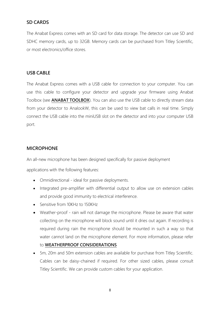# <span id="page-7-0"></span>**SD CARDS**

The Anabat Express comes with an SD card for data storage. The detector can use SD and SDHC memory cards, up to 32GB. Memory cards can be purchased from Titley Scientific, or most electronics/office stores.

## <span id="page-7-1"></span>**USB CABLE**

The Anabat Express comes with a USB cable for connection to your computer. You can use this cable to configure your detector and upgrade your firmware using Anabat Toolbox (see **[ANABAT TOOLBOX](#page-20-2)**). You can also use the USB cable to directly stream data from your detector to AnalookW, this can be used to view bat calls in real time. Simply connect the USB cable into the miniUSB slot on the detector and into your computer USB port.

# <span id="page-7-2"></span>**MICROPHONE**

An all-new microphone has been designed specifically for passive deployment

applications with the following features:

- Omnidirectional ideal for passive deployments.
- Integrated pre-amplifier with differential output to allow use on extension cables and provide good immunity to electrical interference.
- Sensitive from 10KHz to 150KHz
- Weather-proof rain will not damage the microphone. Please be aware that water collecting on the microphone will block sound until it dries out again. If recording is required during rain the microphone should be mounted in such a way so that water cannot land on the microphone element. For more information, please refer

## to **[WEATHERPROOF CONSIDERATIONS](#page-13-1)**

• 5m, 20m and 50m extension cables are available for purchase from Titley Scientific. Cables can be daisy-chained if required. For other sized cables, please consult Titley Scientific. We can provide custom cables for your application.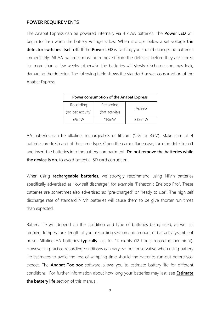## <span id="page-8-0"></span>**POWER REQUIREMENTS**

.

The Anabat Express can be powered internally via 4 x AA batteries. The **Power LED** will begin to flash when the battery voltage is low. When it drops below a set voltage **the detector switches itself off**. If the **Power LED** is flashing you should change the batteries immediately. All AA batteries must be removed from the detector before they are stored for more than a few weeks; otherwise the batteries will slowly discharge and may leak, damaging the detector. The following table shows the standard power consumption of the Anabat Express.

| Power consumption of the Anabat Express |                |        |  |
|-----------------------------------------|----------------|--------|--|
| Recording                               |                |        |  |
| (no bat activity)                       | (bat activity) | Asleep |  |
| 69mW                                    | 113mW          | 3.06mW |  |

AA batteries can be alkaline, rechargeable, or lithium (1.5V or 3.6V). Make sure all 4 batteries are fresh and of the same type. Open the camouflage case, turn the detector off and insert the batteries into the battery compartment. **Do not remove the batteries while the device is on**, to avoid potential SD card corruption.

When using **rechargeable batteries**, we strongly recommend using NiMh batteries specifically advertised as "low self discharge", for example "Panasonic Eneloop Pro". These batteries are sometimes also advertised as "pre-charged" or "ready to use". The high self discharge rate of standard NiMh batteries will cause them to be give shorter run times than expected.

Battery life will depend on the condition and type of batteries being used, as well as ambient temperature, length of your recording session and amount of bat activity/ambient noise. Alkaline AA batteries **typically** last for 14 nights (12 hours recording per night). However in practice recording conditions can vary, so be conservative when using battery life estimates to avoid the loss of sampling time should the batteries run out before you expect. The **Anabat Toolbox** software allows you to estimate battery life for different conditions. For further information about how long your batteries may last, see **[Estimate](#page-29-0)  [the battery life](#page-29-0)** section of this manual.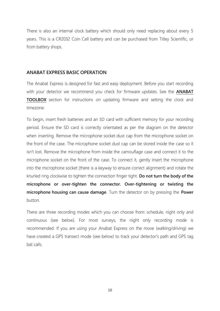There is also an internal clock battery which should only need replacing about every 5 years. This is a CR2032 Coin Cell battery and can be purchased from Titley Scientific, or from battery shops.

## <span id="page-9-0"></span>**ANABAT EXPRESS BASIC OPERATION**

The Anabat Express is designed for fast and easy deployment. Before you start recording with your detector we recommend you check for firmware updates. See the **[ANABAT](#page-20-2)  [TOOLBOX](#page-20-2)** section for instructions on updating firmware and setting the clock and timezone.

To begin, insert fresh batteries and an SD card with sufficient memory for your recording period. Ensure the SD card is correctly orientated as per the diagram on the detector when inserting. Remove the microphone socket dust cap from the microphone socket on the front of the case. The microphone socket dust cap can be stored inside the case so it isn't lost. Remove the microphone from inside the camouflage case and connect it to the microphone socket on the front of the case. To connect it, gently insert the microphone into the microphone socket (there is a keyway to ensure correct alignment) and rotate the knurled ring clockwise to tighten the connection finger tight. **Do not turn the body of the microphone or over-tighten the connector. Over-tightening or twisting the microphone housing can cause damage**. Turn the detector on by pressing the **Power** button.

There are three recording modes which you can choose from: schedule, night only and continuous (see below). For most surveys, the night only recording mode is recommended. If you are using your Anabat Express on the move (walking/driving) we have created a GPS transect mode (see below) to track your detector's path and GPS tag bat calls.

10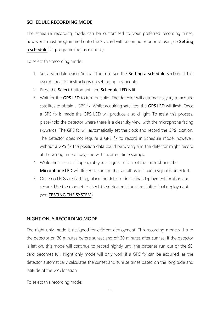## <span id="page-10-0"></span>**SCHEDULE RECORDING MODE**

The schedule recording mode can be customised to your preferred recording times, however it must programmed onto the SD card with a computer prior to use (see **[Setting](#page-24-0)  [a schedule](#page-24-0)** for programming instructions).

To select this recording mode:

- 1. Set a schedule using Anabat Toolbox. See the **[Setting a schedule](#page-24-0)** section of this user manual for instructions on setting up a schedule.
- 2. Press the **Select** button until the **Schedule LED** is lit.
- 3. Wait for the **GPS LED** to turn on solid. The detector will automatically try to acquire satellites to obtain a GPS fix. Whilst acquiring satellites, the **GPS LED** will flash. Once a GPS fix is made the **GPS LED** will produce a solid light. To assist this process, place/hold the detector where there is a clear sky view, with the microphone facing skywards. The GPS fix will automatically set the clock and record the GPS location. The detector does not require a GPS fix to record in Schedule mode, however, without a GPS fix the position data could be wrong and the detector might record at the wrong time of day, and with incorrect time stamps.
- 4. While the case is still open, rub your fingers in front of the microphone; the **Microphone LED** will flicker to confirm that an ultrasonic audio signal is detected.
- 5. Once no LEDs are flashing, place the detector in its final deployment location and secure. Use the magnet to check the detector is functional after final deployment (see **[TESTING THE SYSTEM](#page-13-0)**)

## <span id="page-10-1"></span>**NIGHT ONLY RECORDING MODE**

The night only mode is designed for efficient deployment. This recording mode will turn the detector on 30 minutes before sunset and off 30 minutes after sunrise. If the detector is left on, this mode will continue to record nightly until the batteries run out or the SD card becomes full. Night only mode will only work if a GPS fix can be acquired, as the detector automatically calculates the sunset and sunrise times based on the longitude and latitude of the GPS location.

To select this recording mode: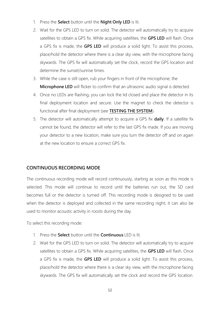- 1. Press the **Select** button until the **Night Only LED** is lit.
- 2. Wait for the GPS LED to turn on solid. The detector will automatically try to acquire satellites to obtain a GPS fix. While acquiring satellites, the **GPS LED** will flash. Once a GPS fix is made, the **GPS LED** will produce a solid light. To assist this process, place/hold the detector where there is a clear sky view, with the microphone facing skywards. The GPS fix will automatically set the clock, record the GPS location and determine the sunset/sunrise times.
- 3. While the case is still open, rub your fingers in front of the microphone; the **Microphone LED** will flicker to confirm that an ultrasonic audio signal is detected.
- 4. Once no LEDs are flashing, you can lock the lid closed and place the detector in its final deployment location and secure. Use the magnet to check the detector is functional after final deployment (see **[TESTING THE SYSTEM](#page-13-0)**).
- 5. The detector will automatically attempt to acquire a GPS fix **daily**. If a satellite fix cannot be found, the detector will refer to the last GPS fix made. If you are moving your detector to a new location, make sure you turn the detector off and on again at the new location to ensure a correct GPS fix.

## <span id="page-11-0"></span>**CONTINUOUS RECORDING MODE**

The continuous recording mode will record continuously, starting as soon as this mode is selected. This mode will continue to record until the batteries run out, the SD card becomes full or the detector is turned off. This recording mode is designed to be used when the detector is deployed and collected in the same recording night; it can also be used to monitor acoustic activity in roosts during the day.

To select this recording mode:

- 1. Press the **Select** button until the **Continuous** LED is lit.
- 2. Wait for the GPS LED to turn on solid. The detector will automatically try to acquire satellites to obtain a GPS fix. While acquiring satellites, the **GPS LED** will flash. Once a GPS fix is made, the **GPS LED** will produce a solid light. To assist this process, place/hold the detector where there is a clear sky view, with the microphone facing skywards. The GPS fix will automatically set the clock and record the GPS location.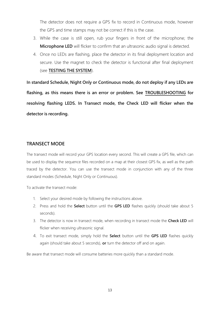The detector does not require a GPS fix to record in Continuous mode, however the GPS and time stamps may not be correct if this is the case.

- 3. While the case is still open, rub your fingers in front of the microphone; the **Microphone LED** will flicker to confirm that an ultrasonic audio signal is detected.
- 4. Once no LEDs are flashing, place the detector in its final deployment location and secure. Use the magnet to check the detector is functional after final deployment (see **[TESTING THE SYSTEM](#page-13-0)**).

**In standard Schedule, Night Only or Continuous mode, do not deploy if any LEDs are flashing, as this means there is an error or problem. See [TROUBLESHOOTING](#page-34-1) for resolving flashing LEDS. In Transect mode, the Check LED will flicker when the detector is recording.** 

#### <span id="page-12-0"></span>**TRANSECT MODE**

The transect mode will record your GPS location every second. This will create a GPS file, which can be used to display the sequence files recorded on a map at their closest GPS fix, as well as the path traced by the detector. You can use the transect mode in conjunction with any of the three standard modes (Schedule, Night Only or Continuous).

To activate the transect mode:

- 1. Select your desired mode by following the instructions above.
- 2. Press and hold the **Select** button until the **GPS LED** flashes quickly (should take about 5 seconds).
- 3. The detector is now in transect mode, when recording in transect mode the **Check LED** will flicker when receiving ultrasonic signal.
- 4. To exit transect mode, simply hold the **Select** button until the **GPS LED** flashes quickly again (should take about 5 seconds), **or** turn the detector off and on again.

Be aware that transect mode will consume batteries more quickly than a standard mode.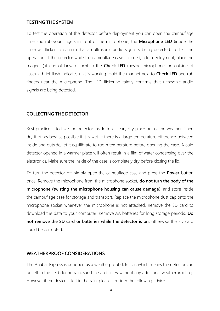#### <span id="page-13-0"></span>**TESTING THE SYSTEM**

To test the operation of the detector before deployment you can open the camouflage case and rub your fingers in front of the microphone; the **Microphone LED** (inside the case) will flicker to confirm that an ultrasonic audio signal is being detected. To test the operation of the detector while the camouflage case is closed, after deployment, place the magnet (at end of lanyard) next to the **Check LED** (beside microphone, on outside of case); a brief flash indicates unit is working. Hold the magnet next to **Check LED** and rub fingers near the microphone. The LED flickering faintly confirms that ultrasonic audio signals are being detected.

#### **COLLECTING THE DETECTOR**

Best practice is to take the detector inside to a clean, dry place out of the weather. Then dry it off as best as possible if it is wet. If there is a large temperature difference between inside and outside, let it equilibrate to room temperature before opening the case. A cold detector opened in a warmer place will often result in a film of water condensing over the electronics. Make sure the inside of the case is completely dry before closing the lid.

To turn the detector off, simply open the camouflage case and press the **Power** button once. Remove the microphone from the microphone socket, **do not turn the body of the microphone (twisting the microphone housing can cause damage)**, and store inside the camouflage case for storage and transport. Replace the microphone dust cap onto the microphone socket whenever the microphone is not attached. Remove the SD card to download the data to your computer. Remove AA batteries for long storage periods. **Do not remove the SD card or batteries while the detector is on**, otherwise the SD card could be corrupted.

#### <span id="page-13-1"></span>**WEATHERPROOF CONSIDERATIONS**

The Anabat Express is designed as a weatherproof detector, which means the detector can be left in the field during rain, sunshine and snow without any additional weatherproofing. However if the device is left in the rain, please consider the following advice: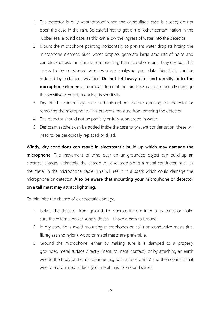- 1. The detector is only weatherproof when the camouflage case is closed; do not open the case in the rain. Be careful not to get dirt or other contamination in the rubber seal around case, as this can allow the ingress of water into the detector.
- 2. Mount the microphone pointing horizontally to prevent water droplets hitting the microphone element. Such water droplets generate large amounts of noise and can block ultrasound signals from reaching the microphone until they dry out. This needs to be considered when you are analysing your data. Sensitivity can be reduced by inclement weather. **Do not let heavy rain land directly onto the microphone element.** The impact force of the raindrops can permanently damage the sensitive element, reducing its sensitivity.
- 3. Dry off the camouflage case and microphone before opening the detector or removing the microphone. This prevents moisture from entering the detector.
- 4. The detector should not be partially or fully submerged in water.
- 5. Desiccant satchels can be added inside the case to prevent condensation, these will need to be periodically replaced or dried.

**Windy, dry conditions can result in electrostatic build-up which may damage the microphone**. The movement of wind over an un-grounded object can build-up an electrical charge. Ultimately, the charge will discharge along a metal conductor, such as the metal in the microphone cable. This will result in a spark which could damage the microphone or detector. **Also be aware that mounting your microphone or detector on a tall mast may attract lightning**.

To minimise the chance of electrostatic damage,

- 1. Isolate the detector from ground, i.e. operate it from internal batteries or make sure the external power supply doesn' t have a path to ground.
- 2. In dry conditions avoid mounting microphones on tall non-conductive masts (inc. fibreglass and nylon), wood or metal masts are preferable.
- 3. Ground the microphone, either by making sure it is clamped to a properly grounded metal surface directly (metal to metal contact), or by attaching an earth wire to the body of the microphone (e.g. with a hose clamp) and then connect that wire to a grounded surface (e.g. metal mast or ground stake).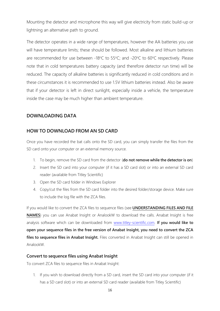Mounting the detector and microphone this way will give electricity from static build-up or lightning an alternative path to ground.

The detector operates in a wide range of temperatures, however the AA batteries you use will have temperature limits; these should be followed. Most alkaline and lithium batteries are recommended for use between -18 $\degree$ C to 55 $\degree$ C; and -20 $\degree$ C to 60 $\degree$ C respectively. Please note that in cold temperatures battery capacity (and therefore detector run time) will be reduced. The capacity of alkaline batteries is significantly reduced in cold conditions and in these circumstances it is recommended to use 1.5V lithium batteries instead. Also be aware that if your detector is left in direct sunlight, especially inside a vehicle, the temperature inside the case may be much higher than ambient temperature.

## <span id="page-15-0"></span>**DOWNLOADING DATA**

## <span id="page-15-1"></span>**HOW TO DOWNLOAD FROM AN SD CARD**

Once you have recorded the bat calls onto the SD card, you can simply transfer the files from the SD card onto your computer or an external memory source.

- 1. To begin, remove the SD card from the detector (**do not remove while the detector is on**)
- 2. Insert the SD card into your computer (if it has a SD card slot) or into an external SD card reader (available from Titley Scientific)
- 3. Open the SD card folder in Windows Explorer
- 4. Copy/cut the files from the SD card folder into the desired folder/storage device. Make sure to include the log file with the ZCA files.

If you would like to convert the ZCA files to sequence files (see **[UNDERSTANDING FILES AND FILE](#page-19-0)  [NAMES](#page-19-0)**) you can use Anabat Insight or AnalookW to download the calls. Anabat Insight is free analysis software which can be downloaded from [www.titley-scientific.com.](http://www.titley-scientific.com/) **If you would like to open your sequence files in the free version of Anabat Insight, you need to convert the ZCA files to sequence files in Anabat Insight.** Files converted in Anabat Insight can still be opened in AnalookW.

#### <span id="page-15-2"></span>**Convert to sequence files using Anabat Insight**

To convert ZCA files to sequence files in Anabat Insight:

1. If you wish to download directly from a SD card, insert the SD card into your computer (if it has a SD card slot) or into an external SD card reader (available from Titley Scientific)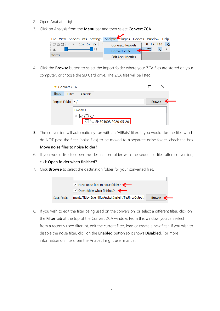- 2. Open Anabat Insight
- 3. Click on Analysis from the **Menu** bar and then select **Convert ZCA**



4. Click the **Browse** button to select the import folder where your ZCA files are stored on your computer, or choose the SD Card drive. The ZCA files will be listed.

| Convert ZCA            |                     |               |  |
|------------------------|---------------------|---------------|--|
| <b>Basic</b><br>Filter | Analysis            |               |  |
| Import Folder  K:/     |                     | <b>Browse</b> |  |
|                        | <b>Filename</b>     |               |  |
|                        | K:                  |               |  |
|                        | SN304008 2020-05-20 |               |  |

- **5.** The conversion will automatically run with an 'AllBats' filter. If you would like the files which do NOT pass the filter (noise files) to be moved to a separate noise folder, check the box **Move noise files to noise folder?**
- 6. If you would like to open the destination folder with the sequence files after conversion, click **Open folder when finished?**
- 7. Click **Browse** to select the destination folder for your converted files.

|             | $\vee$ Move noise files to noise folder?                               |  |
|-------------|------------------------------------------------------------------------|--|
|             | $\vee$ Open folder when finished?                                      |  |
| Save Folder | ments/Titley Scientific/Anabat Insight/Testing/Output<br><b>Browse</b> |  |

8. If you wish to edit the filter being used on the conversion, or select a different filter, click on the **Filter tab** at the top of the Convert ZCA window. From this window, you can select from a recently used filter list, edit the current filter, load or create a new filter. If you wish to disable the noise filter, click on the **Enabled** button so it shows **Disabled**. For more information on filters, see the Anabat Insight user manual.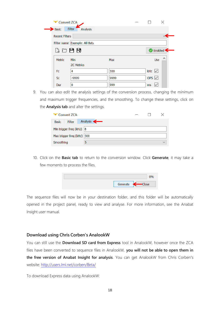| Convert ZCA                                                              |                               |            |                       | × |
|--------------------------------------------------------------------------|-------------------------------|------------|-----------------------|---|
| <b>Basic</b>                                                             | Filter<br>Analysis            |            |                       |   |
| <b>Recent Filters</b>                                                    |                               |            |                       |   |
|                                                                          | Filter name Example: All Bats |            |                       |   |
| $\Box$<br>$\Box$<br><br><br><br><br><br><br><br><br><br><br><br><br><br> |                               |            | Enabled               |   |
| Metric                                                                   | Min                           | <b>Max</b> | Use                   | Α |
|                                                                          | <b>ZC Metrics</b>             |            |                       |   |
| <b>Fc</b>                                                                | 4                             | 300        | $kHz \nightharpoonup$ |   |
| <b>Sc</b>                                                                | $-9999$                       | 9999       | OPS $\overline{\vee}$ |   |
| Dur                                                                      | 0                             | 999        | ms                    |   |

9. You can also edit the analysis settings of the conversion process, changing the minimum and maximum trigger frequencies, and the smoothing. To change these settings, click on the **Analysis tab** and alter the settings.

| Convert ZCA                  |          |  |              |
|------------------------------|----------|--|--------------|
| Filter<br><b>Basic</b>       | Analysis |  |              |
| Min trigger freq (kHz) $ 8 $ |          |  |              |
| Max trigger freq (kHz) 500   |          |  |              |
| Smoothing                    |          |  | $\checkmark$ |

10. Click on the **Basic tab** to return to the conversion window. Click **Generate**, it may take a few moments to process the files.

| Generate | <b>OPO</b> |  |
|----------|------------|--|

The sequence files will now be in your destination folder, and this folder will be automatically opened in the project panel, ready to view and analyse. For more information, see the Anabat Insight user manual.

#### <span id="page-17-0"></span>**Download using Chris Corben's AnalookW**

You can still use the **Download SD card from Express** tool in AnalookW, however once the ZCA files have been converted to sequence files in AnalookW, **you will not be able to open them in the free version of Anabat Insight for analysis**. You can get AnalookW from Chris Corben's website:<http://users.lmi.net/corben/Beta/>

To download Express data using AnalookW: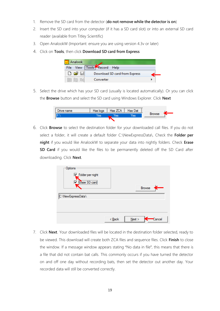- 1. Remove the SD card from the detector (**do not remove while the detector is on**)
- 2. Insert the SD card into your computer (if it has a SD card slot) or into an external SD card reader (available from Titley Scientific)
- 3. Open AnalookW (Important: ensure you are using version 4.3v or later)
- 4. Click on **Tools**, then click **Download SD card from Express**

|       | Analook     |                               |  |
|-------|-------------|-------------------------------|--|
| File: | <b>View</b> | Tools Record Help             |  |
|       | r F         | Download SD card from Express |  |
|       |             | Converter                     |  |

5. Select the drive which has your SD card (usually is located automatically). Or you can click the **Browse** button and select the SD card using Windows Explorer. Click **Next**



6. Click **Browse** to select the destination folder for your downloaded call files. If you do not select a folder, it will create a default folder C:\NewExpressData\. Check the **Folder per night** if you would like AnalookW to separate your data into nightly folders. Check **Erase SD Card** if you would like the files to be permanently deleted off the SD Card after downloading. Click **Next**.

| Options<br>Folder per night<br>Frase SD card | Browse                          |
|----------------------------------------------|---------------------------------|
| C:\NewExpressData\                           |                                 |
|                                              |                                 |
|                                              | Cancel<br>$N$ ext ><br>$<$ Back |

7. Click **Next**. Your downloaded files will be located in the destination folder selected, ready to be viewed. This download will create both ZCA files and sequence files. Click **Finish** to close the window. If a message window appears stating "No data in file", this means that there is a file that did not contain bat calls. This commonly occurs if you have turned the detector on and off one day without recording bats, then set the detector out another day. Your recorded data will still be converted correctly.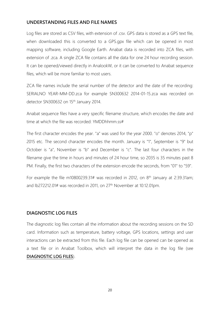## <span id="page-19-0"></span>**UNDERSTANDING FILES AND FILE NAMES**

Log files are stored as CSV files, with extension of .csv. GPS data is stored as a GPS text file, when downloaded this is converted to a GPS.gpx file which can be opened in most mapping software, including Google Earth. Anabat data is recorded into ZCA files, with extension of .zca. A single ZCA file contains all the data for one 24 hour recording session. It can be opened/viewed directly in AnalookW, or it can be converted to Anabat sequence files, which will be more familiar to most users.

ZCA file names include the serial number of the detector and the date of the recording: SERIALNO YEAR-MM-DD.zca for example SN300632 2014-01-15.zca was recorded on detector SN300632 on 15<sup>th</sup> January 2014.

Anabat sequence files have a very specific filename structure, which encodes the date and time at which the file was recorded: YMDDhhmm.ss#

The first character encodes the year. "a" was used for the year 2000. "o" denotes 2014, "p" 2015 etc. The second character encodes the month. January is "1", September is "9" but October is "a", November is "b" and December is "c". The last four characters in the filename give the time in hours and minutes of 24 hour time, so 2035 is 35 minutes past 8 PM. Finally, the first two characters of the extension encode the seconds, from "01" to "59".

For example the file m10800239.31# was recorded in 2012, on  $8<sup>th</sup>$  January at 2:39.31am; and lb272212.01# was recorded in 2011, on 27<sup>th</sup> November at 10:12.01pm.

## <span id="page-19-1"></span>**DIAGNOSTIC LOG FILES**

The diagnostic log files contain all the information about the recording sessions on the SD card. Information such as temperature, battery voltage, GPS locations, settings and user interactions can be extracted from this file. Each log file can be opened can be opened as a text file or in Anabat Toolbox, which will interpret the data in the log file (see **[DIAGNOSTIC LOG FILES](#page-19-1)**).

20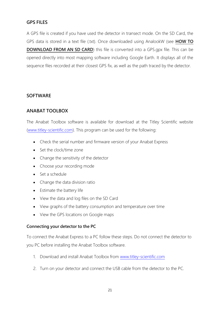# <span id="page-20-0"></span>**GPS FILES**

A GPS file is created if you have used the detector in transect mode. On the SD Card, the GPS data is stored in a text file (.txt). Once downloaded using AnalookW (see **[HOW TO](#page-15-1)  [DOWNLOAD FROM AN SD CARD](#page-15-1)**) this file is converted into a GPS.gpx file. This can be opened directly into most mapping software including Google Earth. It displays all of the sequence files recorded at their closest GPS fix, as well as the path traced by the detector.

## <span id="page-20-1"></span>**SOFTWARE**

# <span id="page-20-2"></span>**ANABAT TOOLBOX**

The Anabat Toolbox software is available for download at the Titley Scientific website [\(www.titley-scientific.com\)](http://www.titley-scientific.com/). This program can be used for the following:

- Check the serial number and firmware version of your Anabat Express
- Set the clock/time zone
- Change the sensitivity of the detector
- Choose your recording mode
- Set a schedule
- Change the data division ratio
- Estimate the battery life
- View the data and log files on the SD Card
- View graphs of the battery consumption and temperature over time
- View the GPS locations on Google maps

## <span id="page-20-3"></span>**Connecting your detector to the PC**

To connect the Anabat Express to a PC follow these steps. Do not connect the detector to you PC before installing the Anabat Toolbox software.

- 1. Download and install Anabat Toolbox from [www.titley-scientific.com](http://www.titley-scientific.com/)
- 2. Turn on your detector and connect the USB cable from the detector to the PC.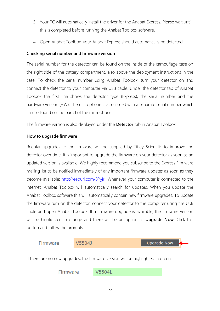- 3. Your PC will automatically install the driver for the Anabat Express. Please wait until this is completed before running the Anabat Toolbox software.
- 4. Open Anabat Toolbox, your Anabat Express should automatically be detected.

## <span id="page-21-0"></span>**Checking serial number and firmware version**

The serial number for the detector can be found on the inside of the camouflage case on the right side of the battery compartment, also above the deployment instructions in the case. To check the serial number using Anabat Toolbox, turn your detector on and connect the detector to your computer via USB cable. Under the detector tab of Anabat Toolbox the first line shows the detector type (Express), the serial number and the hardware version (HW). The microphone is also issued with a separate serial number which can be found on the barrel of the microphone.

The firmware version is also displayed under the **Detector** tab in Anabat Toolbox.

## <span id="page-21-1"></span>**How to upgrade firmware**

Regular upgrades to the firmware will be supplied by Titley Scientific to improve the detector over time. It is important to upgrade the firmware on your detector as soon as an updated version is available. We highly recommend you subscribe to the Express Firmware mailing list to be notified immediately of any important firmware updates as soon as they become available:<http://eepurl.com/8Pyjr>Whenever your computer is connected to the internet, Anabat Toolbox will automatically search for updates. When you update the Anabat Toolbox software this will automatically contain new firmware upgrades. To update the firmware turn on the detector, connect your detector to the computer using the USB cable and open Anabat Toolbox. If a firmware upgrade is available, the firmware version will be highlighted in orange and there will be an option to **Upgrade Now**. Click this button and follow the prompts.

Firmware

V5504J

**Upgrade Now** 

If there are no new upgrades, the firmware version will be highlighted in green.

Firmware V5504L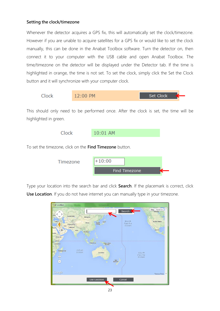#### <span id="page-22-0"></span>**Setting the clock/timezone**

Whenever the detector acquires a GPS fix, this will automatically set the clock/timezone. However if you are unable to acquire satellites for a GPS fix or would like to set the clock manually, this can be done in the Anabat Toolbox software. Turn the detector on, then connect it to your computer with the USB cable and open Anabat Toolbox. The time/timezone on the detector will be displayed under the Detector tab. If the time is highlighted in orange, the time is not set. To set the clock, simply click the Set the Clock button and it will synchronize with your computer clock.

| Clock | 12:00 PM | Set Clock |  |
|-------|----------|-----------|--|
|-------|----------|-----------|--|

This should only need to be performed once. After the clock is set, the time will be highlighted in green.

$$
Clock \qquad \qquad 10:01 \text{ AM}
$$

To set the timezone, click on the **Find Timezone** button.

| Timezone | $+10:00$      |
|----------|---------------|
|          | Find Timezone |

Type your location into the search bar and click **Search**. If the placemark is correct, click **Use Location**. If you do not have internet you can manually type in your timezone.

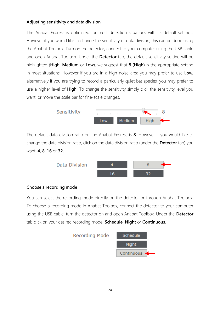## <span id="page-23-0"></span>**Adjusting sensitivity and data division**

The Anabat Express is optimized for most detection situations with its default settings. However if you would like to change the sensitivity or data division, this can be done using the Anabat Toolbox. Turn on the detector, connect to your computer using the USB cable and open Anabat Toolbox. Under the **Detector** tab, the default sensitivity setting will be highlighted (**High**, **Medium** or **Low**), we suggest that **8 (High)** is the appropriate setting in most situations. However if you are in a high-noise area you may prefer to use **Low**, alternatively if you are trying to record a particularly quiet bat species, you may prefer to use a higher level of **High**. To change the sensitivity simply click the sensitivity level you want, or move the scale bar for fine-scale changes.



The default data division ratio on the Anabat Express is **8**. However if you would like to change the data division ratio, click on the data division ratio (under the **Detector** tab) you want: **4**, **8**, **16** or **32**.



## <span id="page-23-1"></span>**Choose a recording mode**

You can select the recording mode directly on the detector or through Anabat Toolbox. To choose a recording mode in Anabat Toolbox, connect the detector to your computer using the USB cable, turn the detector on and open Anabat Toolbox. Under the **Detector** tab click on your desired recording mode: **Schedule**, **Night** or **Continuous**.

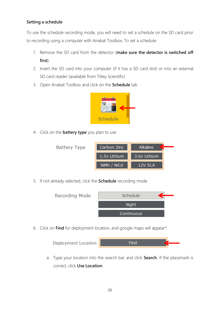## <span id="page-24-0"></span>**Setting a schedule**

To use the schedule recording mode, you will need to set a schedule on the SD card prior to recording using a computer with Anabat Toolbox. To set a schedule:

- 1. Remove the SD card from the detector (**make sure the detector is switched off first**)
- 2. Insert the SD card into your computer (if it has a SD card slot) or into an external SD card reader (available from Titley Scientific)
- 3. Open Anabat Toolbox and click on the **Schedule** tab



4. Click on the **battery type** you plan to use

| <b>Battery Type</b> | Carbon Zinc  | <b>Alkaline</b> |
|---------------------|--------------|-----------------|
|                     | 1.5v Lithium | 3.6v Lithium    |
|                     | NiMh / NiCd  | 12V SLA         |

5. If not already selected, click the **Schedule** recording mode



6. Click on **Find** for deployment location, and google maps will appear\*.



a. Type your location into the search bar and click **Search**. If the placemark is correct, click **Use Location**.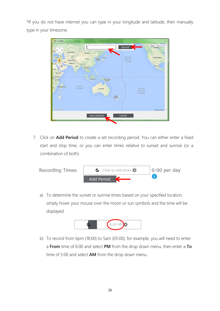\*If you do not have internet you can type in your longitude and latitude, then manually type in your timezone.



7. Click on **Add Period** to create a set recording period. You can either enter a fixed start and stop time, or you can enter times relative to sunset and sunrise (or a combination of both).



a) To determine the sunset or sunrise times based on your specified location, simply hover your mouse over the moon or sun symbols and the time will be displayed.



b) To record from 6pm (18:00) to 5am (05:00), for example, you will need to enter a **From** time of 6:00 and select **PM** from the drop down menu, then enter a **To** time of 5:00 and select **AM** from the drop down menu.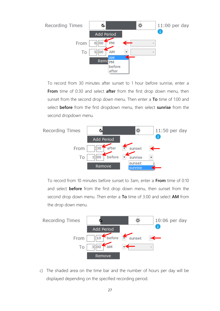

To record from 30 minutes after sunset to 1 hour before sunrise, enter a **From** time of 0:30 and select **after** from the first drop down menu, then sunset from the second drop down menu. Then enter a **To** time of 1:00 and select **before** from the first dropdown menu, then select **sunrise** from the second dropdown menu.



To record from 10 minutes before sunset to 3am, enter a **From** time of 0:10 and select **before** from the first drop down menu, then sunset from the second drop down menu. Then enter a **To** time of 3:00 and select **AM** from the drop down menu.



c) The shaded area on the time bar and the number of hours per day will be displayed depending on the specified recording period.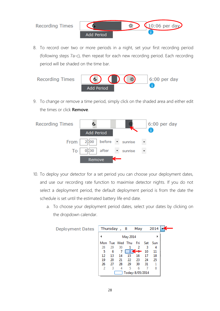

8. To record over two or more periods in a night, set your first recording period (following steps 7a-c), then repeat for each new recording period. Each recording period will be shaded on the time bar.



9. To change or remove a time period, simply click on the shaded area and either edit the times or click **Remove**.

| <b>Recording Times</b> |                         |           |                          | $6:00$ per day |
|------------------------|-------------------------|-----------|--------------------------|----------------|
|                        | Add Period              |           |                          |                |
| From                   | 2:00   before - sunrise |           | $\overline{\phantom{a}}$ |                |
| To                     | after<br>0 :30          | v sunrise |                          |                |
|                        | Remove                  |           |                          |                |

- 10. To deploy your detector for a set period you can choose your deployment dates, and use our recording rate function to maximise detector nights. If you do not select a deployment period, the default deployment period is from the date the schedule is set until the estimated battery life end date.
	- a. To choose your deployment period dates, select your dates by clicking on the dropdown calendar.

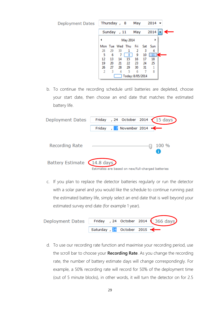

b. To continue the recording schedule until batteries are depleted, choose your start date, then choose an end date that matches the estimated battery life.

| Deployment Dates             | Friday , 24 October 2014 $(15 \text{ days})$      |       |
|------------------------------|---------------------------------------------------|-------|
|                              | Friday , 7 November 2014                          |       |
|                              |                                                   |       |
| <b>Recording Rate</b>        |                                                   | 100 % |
| Battery Estimate (14.8 days) | Estimates are based on new/full-charged batteries |       |

c. If you plan to replace the detector batteries regularly or run the detector with a solar panel and you would like the schedule to continue running past the estimated battery life, simply select an end date that is well beyond your estimated survey end date (for example 1 year).

| Deployment Dates Friday , 24 October 2014 (366 days) |                              |  |  |
|------------------------------------------------------|------------------------------|--|--|
|                                                      | Saturday , $24$ October 2015 |  |  |

d. To use our recording rate function and maximise your recording period, use the scroll bar to choose your **Recording Rate**. As you change the recording rate, the number of battery estimate days will change correspondingly. For example, a 50% recording rate will record for 50% of the deployment time (out of 5 minute blocks), in other words, it will turn the detector on for 2.5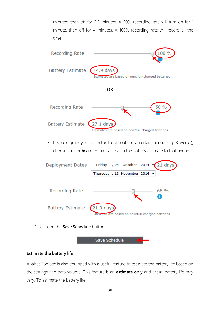minutes, then off for 2.5 minutes. A 20% recording rate will turn on for 1 minute, then off for 4 minutes. A 100% recording rate will record all the time.



e. If you require your detector to be out for a certain period (eg. 3 weeks), choose a recording rate that will match the battery estimate to that period.



11. Click on the **Save Schedule** button



## <span id="page-29-0"></span>**Estimate the battery life**

Anabat Toolbox is also equipped with a useful feature to estimate the battery life based on the settings and data volume. This feature is an **estimate only** and actual battery life may vary. To estimate the battery life: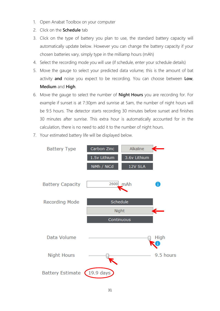- 1. Open Anabat Toolbox on your computer
- 2. Click on the **Schedule** tab
- 3. Click on the type of battery you plan to use, the standard battery capacity will automatically update below. However you can change the battery capacity if your chosen batteries vary, simply type in the milliamp hours (mAh)
- 4. Select the recording mode you will use (if schedule, enter your schedule details)
- 5. Move the gauge to select your predicted data volume; this is the amount of bat activity **and** noise you expect to be recording. You can choose between **Low**, **Medium** and **High**.
- 6. Move the gauge to select the number of **Night Hours** you are recording for. For example if sunset is at 7:30pm and sunrise at 5am, the number of night hours will be 9.5 hours. The detector starts recording 30 minutes before sunset and finishes 30 minutes after sunrise. This extra hour is automatically accounted for in the calculation, there is no need to add it to the number of night hours.
- 7. Your estimated battery life will be displayed below.

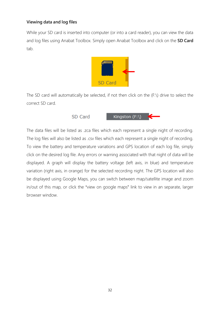#### <span id="page-31-0"></span>**Viewing data and log files**

While your SD card is inserted into computer (or into a card reader), you can view the data and log files using Anabat Toolbox. Simply open Anabat Toolbox and click on the **SD Card** tab.



The SD card will automatically be selected, if not then click on the (F:\) drive to select the correct SD card.



The data files will be listed as .zca files which each represent a single night of recording. The log files will also be listed as .csv files which each represent a single night of recording. To view the battery and temperature variations and GPS location of each log file, simply click on the desired log file. Any errors or warning associated with that night of data will be displayed. A graph will display the battery voltage (left axis, in blue) and temperature variation (right axis, in orange) for the selected recording night. The GPS location will also be displayed using Google Maps, you can switch between map/satellite image and zoom in/out of this map, or click the "view on google maps" link to view in an separate, larger browser window.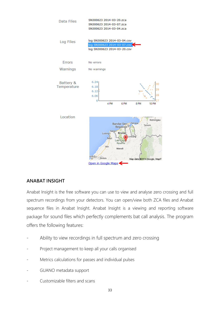

## <span id="page-32-0"></span>**ANABAT INSIGHT**

Anabat Insight is the free software you can use to view and analyse zero crossing and full spectrum recordings from your detectors. You can open/view both ZCA files and Anabat sequence files in Anabat Insight. Anabat Insight is a viewing and reporting software package for sound files which perfectly complements bat call analysis. The program offers the following features:

- Ability to view recordings in full spectrum and zero crossing
- Project management to keep all your calls organised
- Metrics calculations for passes and individual pulses
- GUANO metadata support
- Customizable filters and scans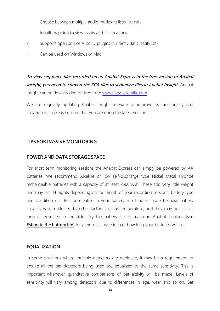- Choose between multiple audio modes to listen to calls
- Inbuilt mapping to view tracks and file locations
- Supports open source Auto ID plugins (currently Bat Classify UK)
- Can be used on Windows or Mac

**To view sequence files recorded on an Anabat Express in the free version of Anabat Insight, you need to convert the ZCA files to sequence files in Anabat Insight.** Anabat Insight can be downloaded for free from [www.titley-scientific.com](http://www.titley-scientific.com/)

We are regularly updating Anabat Insight software to improve its functionality and capabilities, so please ensure that you are using the latest version.

## <span id="page-33-0"></span>**TIPS FOR PASSIVE MONITORING**

## <span id="page-33-1"></span>**POWER AND DATA STORAGE SPACE**

For short term monitoring sessions the Anabat Express can simply be powered by AA batteries. We recommend Alkaline or low self-discharge type Nickel Metal Hydride rechargeable batteries with a capacity of at least 2500mAh. These add very little weight and may last 14 nights depending on the length of your recording sessions, battery type and condition etc. Be conservative in your battery run time estimate because battery capacity is also affected by other factors such as temperature, and they may not last as long as expected in the field. Try the battery life estimator in Anabat Toolbox (see **[Estimate the battery life](#page-29-0)**) for a more accurate idea of how long your batteries will last.

## <span id="page-33-2"></span>**EQUALIZATION**

In some situations where multiple detectors are deployed, it may be a requirement to ensure all the bat detectors being used are equalized to the same sensitivity. This is important whenever quantitative comparisons of bat activity will be made. Levels of sensitivity will vary among detectors due to differences in age, wear and so on. Bat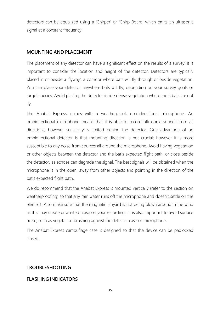detectors can be equalized using a 'Chirper' or 'Chirp Board' which emits an ultrasonic signal at a constant frequency.

## <span id="page-34-0"></span>**MOUNTING AND PLACEMENT**

The placement of any detector can have a significant effect on the results of a survey. It is important to consider the location and height of the detector. Detectors are typically placed in or beside a 'flyway', a corridor where bats will fly through or beside vegetation. You can place your detector anywhere bats will fly, depending on your survey goals or target species. Avoid placing the detector inside dense vegetation where most bats cannot fly.

The Anabat Express comes with a weatherproof, omnidirectional microphone. An omnidirectional microphone means that it is able to record ultrasonic sounds from all directions, however sensitivity is limited behind the detector. One advantage of an omnidirectional detector is that mounting direction is not crucial; however it is more susceptible to any noise from sources all around the microphone. Avoid having vegetation or other objects between the detector and the bat's expected flight path, or close beside the detector, as echoes can degrade the signal. The best signals will be obtained when the microphone is in the open, away from other objects and pointing in the direction of the bat's expected flight path.

We do recommend that the Anabat Express is mounted vertically (refer to the section on weatherproofing) so that any rain water runs off the microphone and doesn't settle on the element. Also make sure that the magnetic lanyard is not being blown around in the wind as this may create unwanted noise on your recordings. It is also important to avoid surface noise, such as vegetation brushing against the detector case or microphone.

The Anabat Express camouflage case is designed so that the device can be padlocked closed.

## <span id="page-34-1"></span>**TROUBLESHOOTING**

## **FLASHING INDICATORS**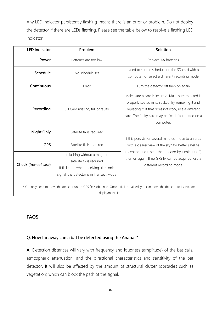Any LED indicator persistently flashing means there is an error or problem. Do not deploy the detector if there are LEDs flashing. Please see the table below to resolve a flashing LED indicator.

| <b>LED Indicator</b>                                                                                                                                   | Problem                                                                                                                                           | Solution                                                                                                                                                                                                                               |  |  |
|--------------------------------------------------------------------------------------------------------------------------------------------------------|---------------------------------------------------------------------------------------------------------------------------------------------------|----------------------------------------------------------------------------------------------------------------------------------------------------------------------------------------------------------------------------------------|--|--|
| Power                                                                                                                                                  | Batteries are too low                                                                                                                             | Replace AA batteries                                                                                                                                                                                                                   |  |  |
| Schedule                                                                                                                                               | No schedule set                                                                                                                                   | Need to set the schedule on the SD card with a<br>computer, or select a different recording mode                                                                                                                                       |  |  |
| Continuous                                                                                                                                             | Error                                                                                                                                             | Turn the detector off then on again                                                                                                                                                                                                    |  |  |
| Recording                                                                                                                                              | SD Card missing, full or faulty                                                                                                                   | Make sure a card is inserted. Make sure the card is<br>properly seated in its socket. Try removing it and<br>replacing it. If that does not work, use a different<br>card. The faulty card may be fixed if formatted on a<br>computer. |  |  |
| Night Only                                                                                                                                             | Satellite fix is required                                                                                                                         | If this persists for several minutes, move to an area                                                                                                                                                                                  |  |  |
| <b>GPS</b>                                                                                                                                             | Satellite fix is required                                                                                                                         | with a clearer view of the sky* for better satellite                                                                                                                                                                                   |  |  |
| Check (front of case)                                                                                                                                  | If flashing without a magnet,<br>satellite fix is required<br>If flickering when receiving ultrasonic<br>signal, the detector is in Transect Mode | reception and restart the detector by turning it off,<br>then on again. If no GPS fix can be acquired, use a<br>different recording mode                                                                                               |  |  |
| * You only need to move the detector until a GPS fix is obtained. Once a fix is obtained, you can move the detector to its intended<br>deployment site |                                                                                                                                                   |                                                                                                                                                                                                                                        |  |  |

# <span id="page-35-0"></span>**FAQS**

## **Q. How far away can a bat be detected using the Anabat?**

**A.** Detection distances will vary with frequency and loudness (amplitude) of the bat calls, atmospheric attenuation, and the directional characteristics and sensitivity of the bat detector. It will also be affected by the amount of structural clutter (obstacles such as vegetation) which can block the path of the signal.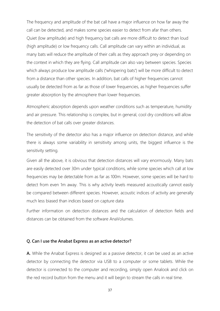The frequency and amplitude of the bat call have a major influence on how far away the call can be detected, and makes some species easier to detect from afar than others. Quiet (low amplitude) and high frequency bat calls are more difficult to detect than loud (high amplitude) or low frequency calls. Call amplitude can vary within an individual, as many bats will reduce the amplitude of their calls as they approach prey or depending on the context in which they are flying. Call amplitude can also vary between species. Species which always produce low amplitude calls ('whispering bats') will be more difficult to detect from a distance than other species. In addition, bat calls of higher frequencies cannot usually be detected from as far as those of lower frequencies, as higher frequencies suffer greater absorption by the atmosphere than lower frequencies.

Atmospheric absorption depends upon weather conditions such as temperature, humidity and air pressure. This relationship is complex, but in general, cool dry conditions will allow the detection of bat calls over greater distances.

The sensitivity of the detector also has a major influence on detection distance, and while there is always some variability in sensitivity among units, the biggest influence is the sensitivity setting.

Given all the above, it is obvious that detection distances will vary enormously. Many bats are easily detected over 30m under typical conditions, while some species which call at low frequencies may be detectable from as far as 100m. However, some species will be hard to detect from even 1m away. This is why activity levels measured acoustically cannot easily be compared between different species. However, acoustic indices of activity are generally much less biased than indices based on capture data

Further information on detection distances and the calculation of detection fields and distances can be obtained from the software AnaVolumes.

#### **Q. Can I use the Anabat Express as an active detector?**

**A.** While the Anabat Express is designed as a passive detector, it can be used as an active detector by connecting the detector via USB to a computer or some tablets. While the detector is connected to the computer and recording, simply open Analook and click on the red record button from the menu and it will begin to stream the calls in real time.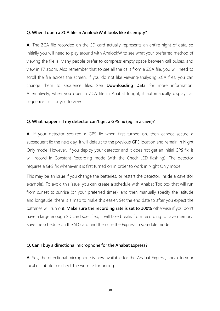#### **Q. When I open a ZCA file in AnalookW it looks like its empty?**

**A.** The ZCA file recorded on the SD card actually represents an entire night of data, so initially you will need to play around with AnalookW to see what your preferred method of viewing the file is. Many people prefer to compress empty space between call pulses, and view in F7 zoom. Also remember that to see all the calls from a ZCA file, you will need to scroll the file across the screen. If you do not like viewing/analysing ZCA files, you can change them to sequence files. See **Downloading Data** for more information. Alternatively, when you open a ZCA file in Anabat Insight, it automatically displays as sequence files for you to view.

#### **Q. What happens if my detector can't get a GPS fix (eg. in a cave)?**

**A.** If your detector secured a GPS fix when first turned on, then cannot secure a subsequent fix the next day, it will default to the previous GPS location and remain in Night Only mode. However, if you deploy your detector and it does not get an initial GPS fix, it will record in Constant Recording mode (with the Check LED flashing). The detector requires a GPS fix whenever it is first turned on in order to work in Night Only mode.

This may be an issue if you change the batteries, or restart the detector, inside a cave (for example). To avoid this issue, you can create a schedule with Anabat Toolbox that will run from sunset to sunrise (or your preferred times), and then manually specify the latitude and longitude, there is a map to make this easier. Set the end date to after you expect the batteries will run out. **Make sure the recording rate is set to 100%** otherwise if you don't have a large enough SD card specified, it will take breaks from recording to save memory. Save the schedule on the SD card and then use the Express in schedule mode.

#### **Q. Can I buy a directional microphone for the Anabat Express?**

**A.** Yes, the directional microphone is now available for the Anabat Express, speak to your local distributor or check the website for pricing.